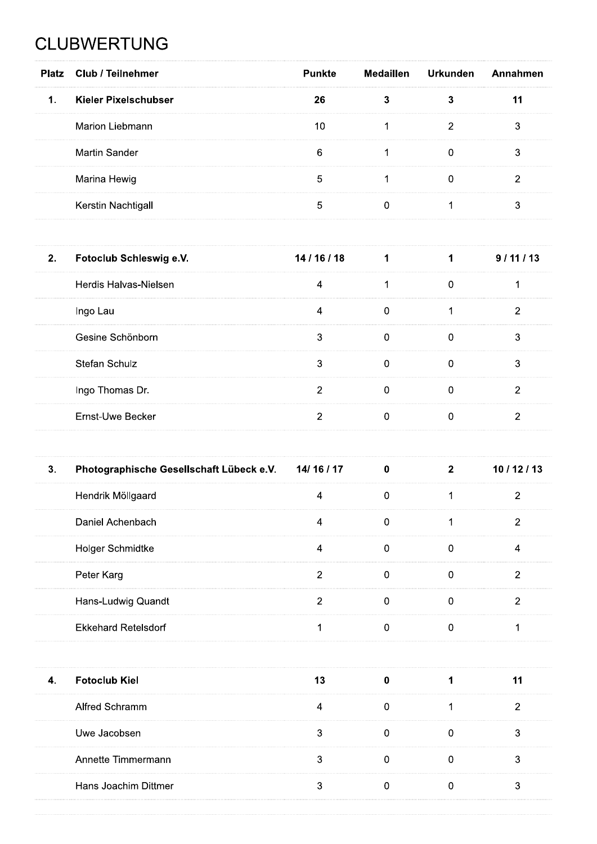## **CLUBWERTUNG**

| <b>Platz</b>  | <b>Club / Teilnehmer</b>                 | <b>Punkte</b>            | <b>Medaillen</b> | <b>Urkunden</b> | Annahmen       |
|---------------|------------------------------------------|--------------------------|------------------|-----------------|----------------|
| $\mathbf 1$ . | <b>Kieler Pixelschubser</b>              | 26                       | 3                | $\mathbf{3}$    | 11             |
|               | Marion Liebmann                          | 10                       | $\mathbf 1$      | $\overline{2}$  | $\mathbf{3}$   |
|               | Martin Sander                            | $\,6$                    | 1                | $\mathbf 0$     | $\mathbf{3}$   |
|               | Marina Hewig                             | $\sqrt{5}$               | 1                | $\pmb{0}$       | $\overline{2}$ |
|               | Kerstin Nachtigall                       | $\overline{5}$           | $\pmb{0}$        | 1               | $\mathbf{3}$   |
|               |                                          |                          |                  |                 |                |
| 2.            | Fotoclub Schleswig e.V.                  | 14 / 16 / 18             | $\mathbf{1}$     | $\mathbf{1}$    | 9/11/13        |
|               | Herdis Halvas-Nielsen                    | $\overline{4}$           | 1                | $\pmb{0}$       | $\mathbf 1$    |
|               | Ingo Lau                                 | $\overline{4}$           | 0                | $\mathbf 1$     | $\overline{2}$ |
|               | Gesine Schönborn                         | 3                        | $\pmb{0}$        | $\mathbf 0$     | 3              |
|               | Stefan Schulz                            | $\mathbf{3}$             | $\pmb{0}$        | $\mathbf 0$     | 3              |
|               | Ingo Thomas Dr.                          | $\overline{2}$           | $\pmb{0}$        | $\mathbf 0$     | $\overline{2}$ |
|               | Ernst-Uwe Becker                         | $\overline{2}$           | $\pmb{0}$        | $\pmb{0}$       | $\overline{2}$ |
|               |                                          |                          |                  |                 |                |
| 3.            | Photographische Gesellschaft Lübeck e.V. | 14/ 16 / 17              | $\pmb{0}$        | $\overline{2}$  | 10/12/13       |
|               | Hendrik Möllgaard                        | $\overline{4}$           | $\pmb{0}$        | 1               | $\overline{2}$ |
|               | Daniel Achenbach                         | 4                        | 0                | 1               | $\overline{2}$ |
|               | Holger Schmidtke                         | $\overline{\mathcal{A}}$ | $\pmb{0}$        | $\pmb{0}$       | $\overline{4}$ |
|               | Peter Karg                               | $\overline{2}$           | $\boldsymbol{0}$ | $\mathbf 0$     | $\overline{2}$ |
|               | Hans-Ludwig Quandt                       | $\overline{2}$           | $\pmb{0}$        | $\pmb{0}$       | $\overline{2}$ |
|               | <b>Ekkehard Retelsdorf</b>               | 1                        | $\pmb{0}$        | $\bf{0}$        | $\mathbf 1$    |
|               |                                          |                          |                  |                 |                |
| 4.            | <b>Fotoclub Kiel</b>                     | 13                       | $\pmb{0}$        | 1               | 11             |
|               | Alfred Schramm                           | $\overline{4}$           | $\boldsymbol{0}$ | 1               | $\overline{2}$ |
|               | Uwe Jacobsen                             | $\mathbf{3}$             | $\pmb{0}$        | $\pmb{0}$       | $\mathfrak{S}$ |
|               | Annette Timmermann                       | $\mathbf{3}$             | $\pmb{0}$        | $\pmb{0}$       | 3              |
|               | Hans Joachim Dittmer                     | $\sqrt{3}$               | 0                | 0               | $\mathbf{3}$   |